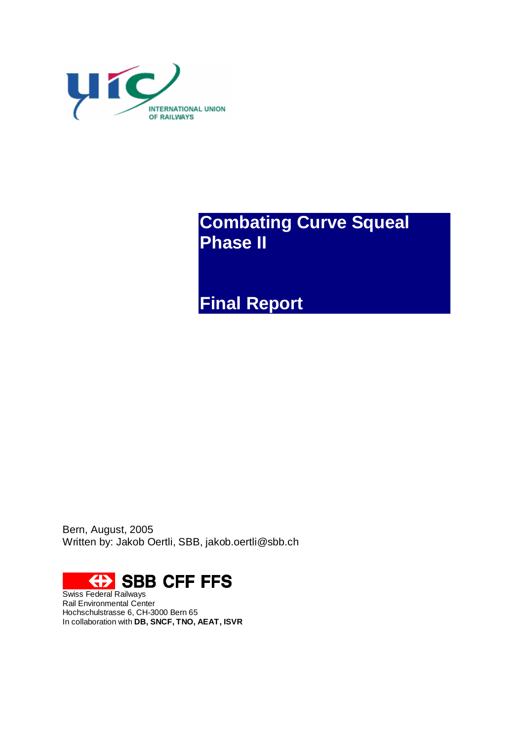

**Combating Curve Squeal Phase II**

**Final Report**

Bern, August, 2005 Written by: Jakob Oertli, SBB, [jakob.oertli@sbb.ch](mailto:jakob.oertli@sbb.ch)



Swiss Federal Railways Rail Environmental Center Hochschulstrasse 6, CH-3000 Bern 65 In collaboration with **DB, SNCF, TNO, AEAT, ISVR**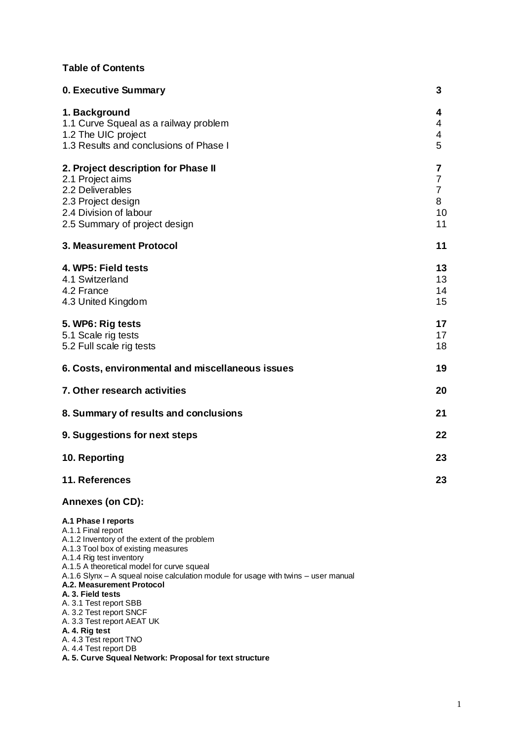#### **Table of Contents**

| 0. Executive Summary                                                                                                                                                                                                                                                                                                                                                                                                                  | 3                                                      |
|---------------------------------------------------------------------------------------------------------------------------------------------------------------------------------------------------------------------------------------------------------------------------------------------------------------------------------------------------------------------------------------------------------------------------------------|--------------------------------------------------------|
| 1. Background<br>1.1 Curve Squeal as a railway problem<br>1.2 The UIC project<br>1.3 Results and conclusions of Phase I                                                                                                                                                                                                                                                                                                               | 4<br>4<br>4<br>5                                       |
| 2. Project description for Phase II<br>2.1 Project aims<br>2.2 Deliverables<br>2.3 Project design<br>2.4 Division of labour<br>2.5 Summary of project design                                                                                                                                                                                                                                                                          | 7<br>$\overline{7}$<br>$\overline{7}$<br>8<br>10<br>11 |
| 3. Measurement Protocol                                                                                                                                                                                                                                                                                                                                                                                                               | 11                                                     |
| 4. WP5: Field tests<br>4.1 Switzerland<br>4.2 France<br>4.3 United Kingdom                                                                                                                                                                                                                                                                                                                                                            | 13<br>13<br>14<br>15                                   |
| 5. WP6: Rig tests<br>5.1 Scale rig tests<br>5.2 Full scale rig tests                                                                                                                                                                                                                                                                                                                                                                  | 17<br>17<br>18                                         |
| 6. Costs, environmental and miscellaneous issues                                                                                                                                                                                                                                                                                                                                                                                      | 19                                                     |
| 7. Other research activities                                                                                                                                                                                                                                                                                                                                                                                                          | 20                                                     |
| 8. Summary of results and conclusions                                                                                                                                                                                                                                                                                                                                                                                                 | 21                                                     |
| 9. Suggestions for next steps                                                                                                                                                                                                                                                                                                                                                                                                         | 22                                                     |
| 10. Reporting                                                                                                                                                                                                                                                                                                                                                                                                                         | 23                                                     |
| 11. References                                                                                                                                                                                                                                                                                                                                                                                                                        | 23                                                     |
| <b>Annexes (on CD):</b>                                                                                                                                                                                                                                                                                                                                                                                                               |                                                        |
| A.1 Phase I reports<br>A.1.1 Final report<br>A.1.2 Inventory of the extent of the problem<br>A.1.3 Tool box of existing measures<br>A.1.4 Rig test inventory<br>A.1.5 A theoretical model for curve squeal<br>A.1.6 Slynx - A squeal noise calculation module for usage with twins - user manual<br>A.2. Measurement Protocol<br>A. 3. Field tests<br>A. 3.1 Test report SBB<br>A. 3.2 Test report SNCF<br>A. 3.3 Test report AEAT UK |                                                        |

**A. 4. Rig test**

A. 4.3 Test report TNO

A. 4.4 Test report DB

**A. 5. Curve Squeal Network: Proposal for text structure**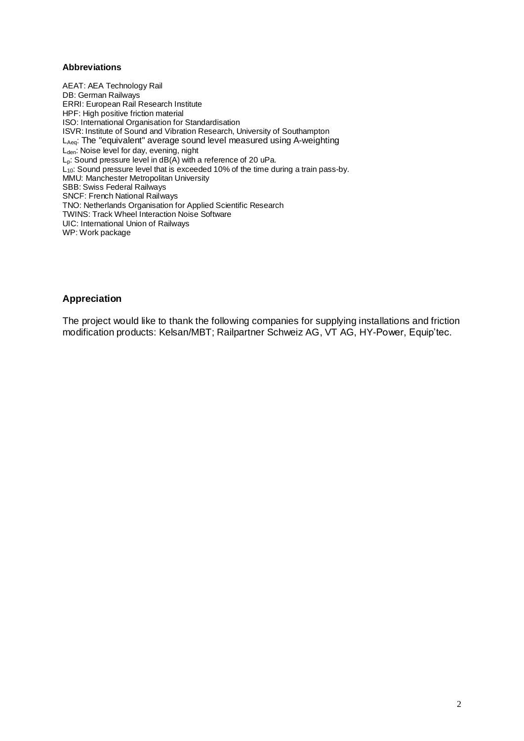#### **Abbreviations**

AEAT: AEA Technology Rail DB: German Railways ERRI: European Rail Research Institute HPF: High positive friction material ISO: International Organisation for Standardisation ISVR: Institute of Sound and Vibration Research, University of Southampton LAeq: The "equivalent" average sound level measured using A-weighting L<sub>den</sub>: Noise level for day, evening, night L<sub>p</sub>: Sound pressure level in dB(A) with a reference of 20 uPa.  $L_{10}$ : Sound pressure level that is exceeded 10% of the time during a train pass-by. MMU: Manchester Metropolitan University SBB: Swiss Federal Railways SNCF: French National Railways TNO: Netherlands Organisation for Applied Scientific Research TWINS: Track Wheel Interaction Noise Software UIC: International Union of Railways WP: Work package

#### **Appreciation**

The project would like to thank the following companies for supplying installations and friction modification products: Kelsan/MBT; Railpartner Schweiz AG, VT AG, HY-Power, Equip'tec.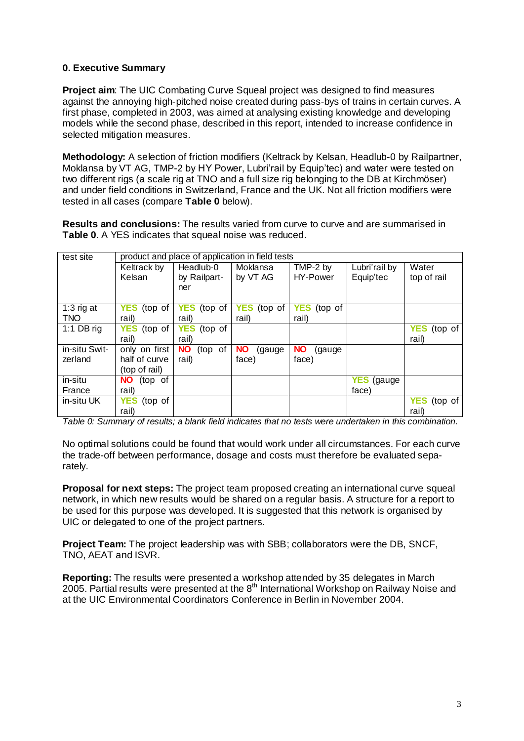#### **0. Executive Summary**

**Project aim**: The UIC Combating Curve Squeal project was designed to find measures against the annoying high-pitched noise created during pass-bys of trains in certain curves. A first phase, completed in 2003, was aimed at analysing existing knowledge and developing models while the second phase, described in this report, intended to increase confidence in selected mitigation measures.

**Methodology:** A selection of friction modifiers (Keltrack by Kelsan, Headlub-0 by Railpartner, Moklansa by VT AG, TMP-2 by HY Power, Lubri'rail by Equip'tec) and water were tested on two different rigs (a scale rig at TNO and a full size rig belonging to the DB at Kirchmöser) and under field conditions in Switzerland, France and the UK. Not all friction modifiers were tested in all cases (compare **Table 0** below).

**Results and conclusions:** The results varied from curve to curve and are summarised in **Table 0**. A YES indicates that squeal noise was reduced.

| test site                 |                       |                       | product and place of application in field tests |                       |                    |                       |
|---------------------------|-----------------------|-----------------------|-------------------------------------------------|-----------------------|--------------------|-----------------------|
|                           | Keltrack by           | Headlub-0             | Moklansa                                        | TMP-2 by              | Lubri'rail by      | Water                 |
|                           | Kelsan                | by Railpart-          | by VT AG                                        | HY-Power              | Equip'tec          | top of rail           |
|                           |                       | ner                   |                                                 |                       |                    |                       |
|                           |                       |                       |                                                 |                       |                    |                       |
| 1:3 $\overline{r}$ rig at | <b>YES</b><br>(top of | <b>YES</b><br>(top of | <b>YES</b><br>(top of                           | <b>YES</b><br>(top of |                    |                       |
| <b>TNO</b>                | rail)                 | rail)                 | rail)                                           | rail)                 |                    |                       |
| 1:1 DB rig                | <b>YES</b><br>(top of | YES (top of           |                                                 |                       |                    | <b>YES</b><br>(top of |
|                           | rail)                 | rail)                 |                                                 |                       |                    | rail)                 |
| in-situ Swit-             | only on first         | <b>NO</b><br>(top of  | <b>NO</b><br>(gauge)                            | <b>NO</b><br>(gauge   |                    |                       |
| zerland                   | half of curve         | rail)                 | face)                                           | face)                 |                    |                       |
|                           | (top of rail)         |                       |                                                 |                       |                    |                       |
| in-situ                   | (top of<br>NO.        |                       |                                                 |                       | <b>YES</b> (gauge) |                       |
| France                    | rail)                 |                       |                                                 |                       | face)              |                       |
| in-situ UK                | <b>YES</b><br>(top of |                       |                                                 |                       |                    | YES<br>(top of        |
|                           | rail)                 |                       |                                                 |                       |                    | rail)                 |

*Table 0: Summary of results; a blank field indicates that no tests were undertaken in this combination.*

No optimal solutions could be found that would work under all circumstances. For each curve the trade-off between performance, dosage and costs must therefore be evaluated separately.

**Proposal for next steps:** The project team proposed creating an international curve squeal network, in which new results would be shared on a regular basis. A structure for a report to be used for this purpose was developed. It is suggested that this network is organised by UIC or delegated to one of the project partners.

**Project Team:** The project leadership was with SBB; collaborators were the DB, SNCF, TNO, AEAT and ISVR.

**Reporting:** The results were presented a workshop attended by 35 delegates in March 2005. Partial results were presented at the 8<sup>th</sup> International Workshop on Railway Noise and at the UIC Environmental Coordinators Conference in Berlin in November 2004.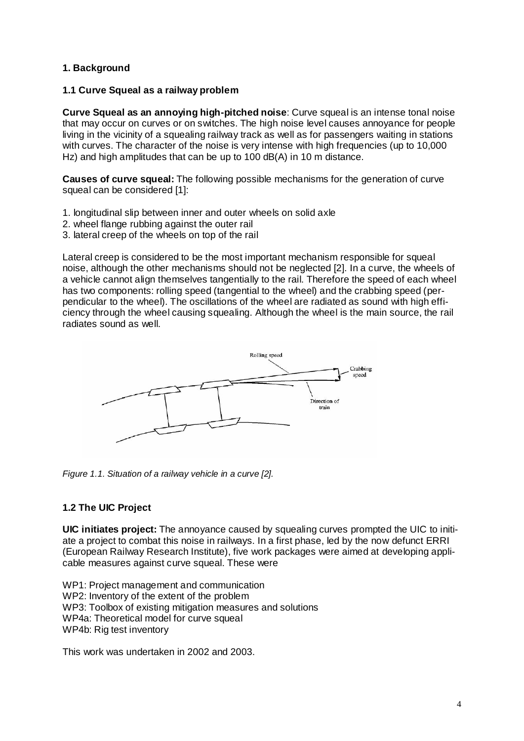## **1. Background**

#### **1.1 Curve Squeal as a railway problem**

**Curve Squeal as an annoying high-pitched noise**: Curve squeal is an intense tonal noise that may occur on curves or on switches. The high noise level causes annoyance for people living in the vicinity of a squealing railway track as well as for passengers waiting in stations with curves. The character of the noise is very intense with high frequencies (up to 10,000 Hz) and high amplitudes that can be up to 100 dB(A) in 10 m distance.

**Causes of curve squeal:** The following possible mechanisms for the generation of curve squeal can be considered [1]:

- 1. longitudinal slip between inner and outer wheels on solid axle
- 2. wheel flange rubbing against the outer rail
- 3. lateral creep of the wheels on top of the rail

Lateral creep is considered to be the most important mechanism responsible for squeal noise, although the other mechanisms should not be neglected [2]. In a curve, the wheels of a vehicle cannot align themselves tangentially to the rail. Therefore the speed of each wheel has two components: rolling speed (tangential to the wheel) and the crabbing speed (perpendicular to the wheel). The oscillations of the wheel are radiated as sound with high efficiency through the wheel causing squealing. Although the wheel is the main source, the rail radiates sound as well.



*Figure 1.1. Situation of a railway vehicle in a curve [2].*

## **1.2 The UIC Project**

**UIC initiates project:** The annoyance caused by squealing curves prompted the UIC to initiate a project to combat this noise in railways. In a first phase, led by the now defunct ERRI (European Railway Research Institute), five work packages were aimed at developing applicable measures against curve squeal. These were

WP1: Project management and communication WP2: Inventory of the extent of the problem WP3: Toolbox of existing mitigation measures and solutions WP4a: Theoretical model for curve squeal WP4b: Rig test inventory

This work was undertaken in 2002 and 2003.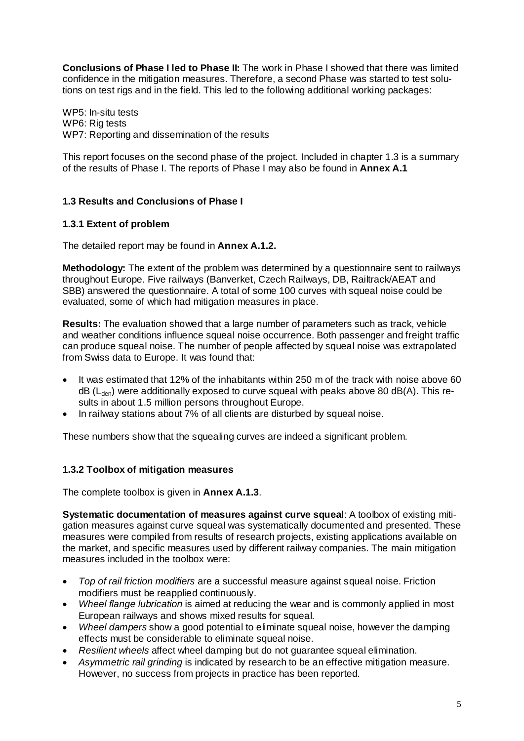**Conclusions of Phase I led to Phase II:** The work in Phase I showed that there was limited confidence in the mitigation measures. Therefore, a second Phase was started to test solutions on test rigs and in the field. This led to the following additional working packages:

WP5: In-situ tests WP6: Rig tests WP7: Reporting and dissemination of the results

This report focuses on the second phase of the project. Included in chapter 1.3 is a summary of the results of Phase I. The reports of Phase I may also be found in **Annex A.1**

## **1.3 Results and Conclusions of Phase I**

#### **1.3.1 Extent of problem**

The detailed report may be found in **Annex A.1.2.**

**Methodology:** The extent of the problem was determined by a questionnaire sent to railways throughout Europe. Five railways (Banverket, Czech Railways, DB, Railtrack/AEAT and SBB) answered the questionnaire. A total of some 100 curves with squeal noise could be evaluated, some of which had mitigation measures in place.

**Results:** The evaluation showed that a large number of parameters such as track, vehicle and weather conditions influence squeal noise occurrence. Both passenger and freight traffic can produce squeal noise. The number of people affected by squeal noise was extrapolated from Swiss data to Europe. It was found that:

- It was estimated that 12% of the inhabitants within 250 m of the track with noise above 60  $dB$  ( $L_{den}$ ) were additionally exposed to curve squeal with peaks above 80 dB(A). This results in about 1.5 million persons throughout Europe.
- In railway stations about 7% of all clients are disturbed by squeal noise.

These numbers show that the squealing curves are indeed a significant problem.

## **1.3.2 Toolbox of mitigation measures**

The complete toolbox is given in **Annex A.1.3**.

**Systematic documentation of measures against curve squeal**: A toolbox of existing mitigation measures against curve squeal was systematically documented and presented. These measures were compiled from results of research projects, existing applications available on the market, and specific measures used by different railway companies. The main mitigation measures included in the toolbox were:

- *Top of rail friction modifiers* are a successful measure against squeal noise. Friction modifiers must be reapplied continuously.
- *Wheel flange lubrication* is aimed at reducing the wear and is commonly applied in most European railways and shows mixed results for squeal.
- *Wheel dampers* show a good potential to eliminate squeal noise, however the damping effects must be considerable to eliminate squeal noise.
- *Resilient wheels* affect wheel damping but do not guarantee squeal elimination.
- *Asymmetric rail grinding* is indicated by research to be an effective mitigation measure. However, no success from projects in practice has been reported.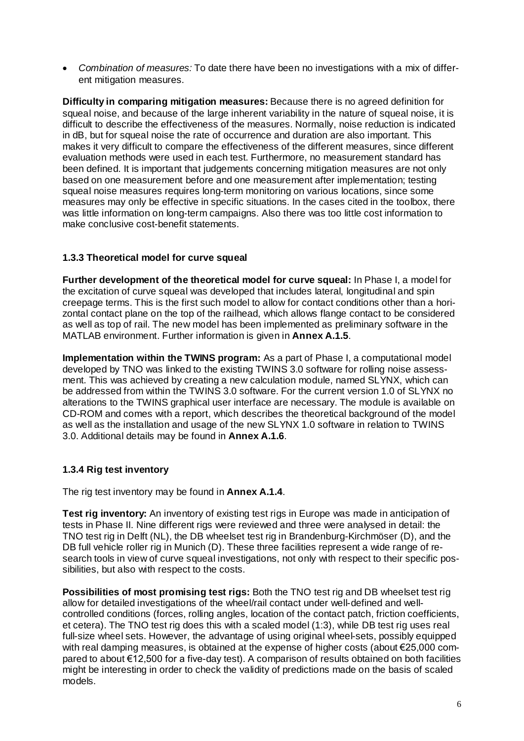*Combination of measures:* To date there have been no investigations with a mix of different mitigation measures.

**Difficulty in comparing mitigation measures:** Because there is no agreed definition for squeal noise, and because of the large inherent variability in the nature of squeal noise, it is difficult to describe the effectiveness of the measures. Normally, noise reduction is indicated in dB, but for squeal noise the rate of occurrence and duration are also important. This makes it very difficult to compare the effectiveness of the different measures, since different evaluation methods were used in each test. Furthermore, no measurement standard has been defined. It is important that judgements concerning mitigation measures are not only based on one measurement before and one measurement after implementation; testing squeal noise measures requires long-term monitoring on various locations, since some measures may only be effective in specific situations. In the cases cited in the toolbox, there was little information on long-term campaigns. Also there was too little cost information to make conclusive cost-benefit statements.

## **1.3.3 Theoretical model for curve squeal**

**Further development of the theoretical model for curve squeal:** In Phase I, a model for the excitation of curve squeal was developed that includes lateral, longitudinal and spin creepage terms. This is the first such model to allow for contact conditions other than a horizontal contact plane on the top of the railhead, which allows flange contact to be considered as well as top of rail. The new model has been implemented as preliminary software in the MATLAB environment. Further information is given in **Annex A.1.5**.

**Implementation within the TWINS program:** As a part of Phase I, a computational model developed by TNO was linked to the existing TWINS 3.0 software for rolling noise assessment. This was achieved by creating a new calculation module, named SLYNX, which can be addressed from within the TWINS 3.0 software. For the current version 1.0 of SLYNX no alterations to the TWINS graphical user interface are necessary. The module is available on CD-ROM and comes with a report, which describes the theoretical background of the model as well as the installation and usage of the new SLYNX 1.0 software in relation to TWINS 3.0. Additional details may be found in **Annex A.1.6**.

# **1.3.4 Rig test inventory**

The rig test inventory may be found in **Annex A.1.4**.

**Test rig inventory:** An inventory of existing test rigs in Europe was made in anticipation of tests in Phase II. Nine different rigs were reviewed and three were analysed in detail: the TNO test rig in Delft (NL), the DB wheelset test rig in Brandenburg-Kirchmöser (D), and the DB full vehicle roller rig in Munich (D). These three facilities represent a wide range of research tools in view of curve squeal investigations, not only with respect to their specific possibilities, but also with respect to the costs.

**Possibilities of most promising test rigs:** Both the TNO test rig and DB wheelset test rig allow for detailed investigations of the wheel/rail contact under well-defined and wellcontrolled conditions (forces, rolling angles, location of the contact patch, friction coefficients, et cetera). The TNO test rig does this with a scaled model (1:3), while DB test rig uses real full-size wheel sets. However, the advantage of using original wheel-sets, possibly equipped with real damping measures, is obtained at the expense of higher costs (about €25,000 compared to about €12,500 for a five-day test). A comparison of results obtained on both facilities might be interesting in order to check the validity of predictions made on the basis of scaled models.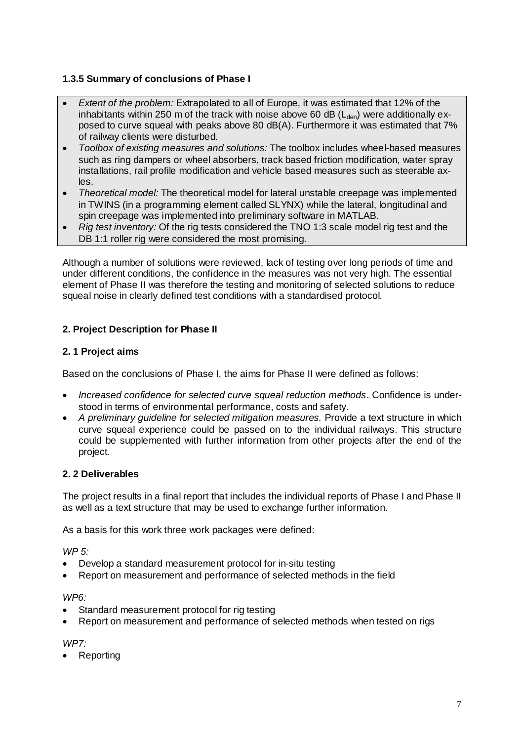# **1.3.5 Summary of conclusions of Phase I**

- *Extent of the problem:* Extrapolated to all of Europe, it was estimated that 12% of the inhabitants within 250 m of the track with noise above 60 dB ( $L_{den}$ ) were additionally exposed to curve squeal with peaks above 80 dB(A). Furthermore it was estimated that 7% of railway clients were disturbed.
- *Toolbox of existing measures and solutions:* The toolbox includes wheel-based measures such as ring dampers or wheel absorbers, track based friction modification, water spray installations, rail profile modification and vehicle based measures such as steerable axles.
- *Theoretical model:* The theoretical model for lateral unstable creepage was implemented in TWINS (in a programming element called SLYNX) while the lateral, longitudinal and spin creepage was implemented into preliminary software in MATLAB.
- *Rig test inventory:* Of the rig tests considered the TNO 1:3 scale model rig test and the DB 1:1 roller rig were considered the most promising.

Although a number of solutions were reviewed, lack of testing over long periods of time and under different conditions, the confidence in the measures was not very high. The essential element of Phase II was therefore the testing and monitoring of selected solutions to reduce squeal noise in clearly defined test conditions with a standardised protocol.

## **2. Project Description for Phase II**

## **2. 1 Project aims**

Based on the conclusions of Phase I, the aims for Phase II were defined as follows:

- *Increased confidence for selected curve squeal reduction methods*. Confidence is understood in terms of environmental performance, costs and safety.
- *A preliminary guideline for selected mitigation measures.* Provide a text structure in which curve squeal experience could be passed on to the individual railways. This structure could be supplemented with further information from other projects after the end of the project*.*

## **2. 2 Deliverables**

The project results in a final report that includes the individual reports of Phase I and Phase II as well as a text structure that may be used to exchange further information.

As a basis for this work three work packages were defined:

*WP 5:* 

- Develop a standard measurement protocol for in-situ testing
- Report on measurement and performance of selected methods in the field

#### *WP6:*

- Standard measurement protocol for rig testing
- Report on measurement and performance of selected methods when tested on rigs

#### *WP7:*

Reporting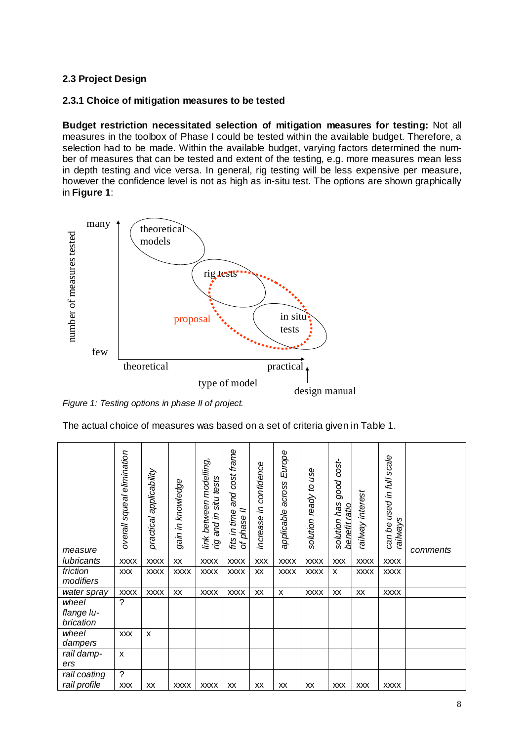## **2.3 Project Design**

#### **2.3.1 Choice of mitigation measures to be tested**

**Budget restriction necessitated selection of mitigation measures for testing:** Not all measures in the toolbox of Phase I could be tested within the available budget. Therefore, a selection had to be made. Within the available budget, varying factors determined the number of measures that can be tested and extent of the testing, e.g. more measures mean less in depth testing and vice versa. In general, rig testing will be less expensive per measure, however the confidence level is not as high as in-situ test. The options are shown graphically in **Figure 1**:



*Figure 1: Testing options in phase II of project.*

| The actual choice of measures was based on a set of criteria given in Table 1. |  |  |  |
|--------------------------------------------------------------------------------|--|--|--|
|                                                                                |  |  |  |

| number of measures tested                                                      |                            | models                  | proposal          | rig tests                                        |                                            |                        | in situ<br>tests         |                       |                                          |                  |                                       |          |
|--------------------------------------------------------------------------------|----------------------------|-------------------------|-------------------|--------------------------------------------------|--------------------------------------------|------------------------|--------------------------|-----------------------|------------------------------------------|------------------|---------------------------------------|----------|
| few                                                                            |                            |                         |                   |                                                  |                                            |                        |                          |                       |                                          |                  |                                       |          |
|                                                                                |                            | theoretical             |                   |                                                  |                                            |                        | practical.               |                       |                                          |                  |                                       |          |
|                                                                                |                            |                         |                   |                                                  | type of model                              |                        |                          |                       |                                          |                  |                                       |          |
| Figure 1: Testing options in phase II of project.                              |                            |                         |                   |                                                  |                                            |                        |                          | design manual         |                                          |                  |                                       |          |
| The actual choice of measures was based on a set of criteria given in Table 1. |                            |                         |                   |                                                  |                                            |                        |                          |                       |                                          |                  |                                       |          |
| measure                                                                        | overall squeal elimination | practical applicability | gain in knowledge | link between modelling,<br>rig and in situ tests | fits in time and cost frame<br>of phase II | increase in confidence | applicable across Europe | solution ready to use | solution has good cost-<br>benefit ratio | railway interest | can be used in full scale<br>railways | comments |
| lubricants                                                                     | <b>XXXX</b>                | <b>XXXX</b>             | XX                | <b>XXXX</b>                                      | <b>XXXX</b>                                | <b>XXX</b>             | <b>XXXX</b>              | <b>XXXX</b>           | <b>XXX</b>                               | <b>XXXX</b>      | <b>XXXX</b>                           |          |
| friction<br>modifiers                                                          | <b>XXX</b>                 | <b>XXXX</b>             | <b>XXXX</b>       | <b>XXXX</b>                                      | <b>XXXX</b>                                | XX                     | <b>XXXX</b>              | <b>XXXX</b>           | X                                        | <b>XXXX</b>      | <b>XXXX</b>                           |          |
| water spray                                                                    | <b>XXXX</b>                | <b>XXXX</b>             | XX                | <b>XXXX</b>                                      | <b>XXXX</b>                                | XX                     | X                        | <b>XXXX</b>           | XX                                       | XX               | <b>XXXX</b>                           |          |
| wheel<br>flange lu-<br>brication                                               | ?                          |                         |                   |                                                  |                                            |                        |                          |                       |                                          |                  |                                       |          |
| wheel<br>dampers                                                               | <b>XXX</b>                 | $\pmb{\mathsf{x}}$      |                   |                                                  |                                            |                        |                          |                       |                                          |                  |                                       |          |
| rail damp-<br>ers                                                              | $\pmb{\times}$             |                         |                   |                                                  |                                            |                        |                          |                       |                                          |                  |                                       |          |
| rail coating                                                                   | $\overline{\cdot}$         |                         |                   |                                                  |                                            |                        |                          |                       |                                          |                  |                                       |          |
| rail profile                                                                   | XXX                        | XX                      | <b>XXXX</b>       | <b>XXXX</b>                                      | XX                                         | XX                     | XX                       | XX                    | <b>XXX</b>                               | <b>XXX</b>       | <b>XXXX</b>                           |          |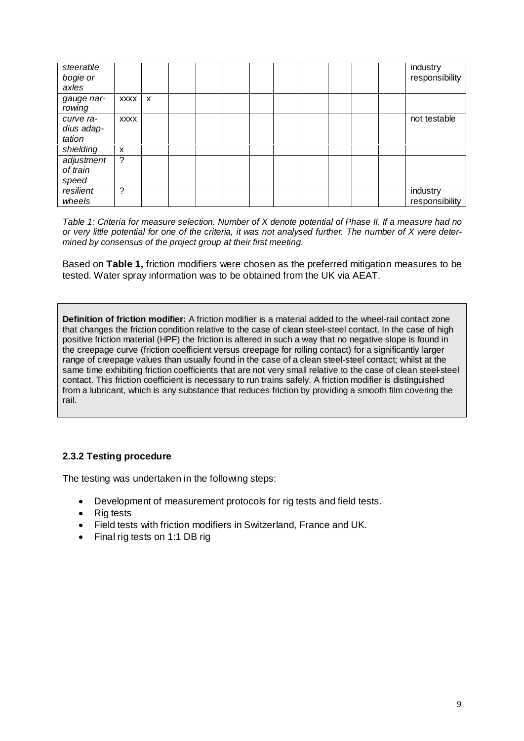| steerable  |             |                           |  |  |  |  | industry       |
|------------|-------------|---------------------------|--|--|--|--|----------------|
| bogie or   |             |                           |  |  |  |  | responsibility |
| axles      |             |                           |  |  |  |  |                |
| gauge nar- | <b>XXXX</b> | $\boldsymbol{\mathsf{x}}$ |  |  |  |  |                |
| rowing     |             |                           |  |  |  |  |                |
| curve ra-  | <b>XXXX</b> |                           |  |  |  |  | not testable   |
| dius adap- |             |                           |  |  |  |  |                |
| tation     |             |                           |  |  |  |  |                |
| shielding  | X           |                           |  |  |  |  |                |
| adjustment | ?           |                           |  |  |  |  |                |
| of train   |             |                           |  |  |  |  |                |
| speed      |             |                           |  |  |  |  |                |
| resilient  | 2           |                           |  |  |  |  | industry       |
| wheels     |             |                           |  |  |  |  | responsibility |

*Table 1: Criteria for measure selection. Number of X denote potential of Phase II. If a measure had no or very little potential for one of the criteria, it was not analysed further. The number of X were determined by consensus of the project group at their first meeting.*

Based on **Table 1,** friction modifiers were chosen as the preferred mitigation measures to be tested. Water spray information was to be obtained from the UK via AEAT.

**Definition of friction modifier:** A friction modifier is a material added to the wheel-rail contact zone that changes the friction condition relative to the case of clean steel-steel contact. In the case of high positive friction material (HPF) the friction is altered in such a way that no negative slope is found in the creepage curve (friction coefficient versus creepage for rolling contact) for a significantly larger range of creepage values than usually found in the case of a clean steel-steel contact; whilst at the same time exhibiting friction coefficients that are not very small relative to the case of clean steel-steel contact. This friction coefficient is necessary to run trains safely. A friction modifier is distinguished from a lubricant, which is any substance that reduces friction by providing a smooth film covering the rail.

## **2.3.2 Testing procedure**

The testing was undertaken in the following steps:

- Development of measurement protocols for rig tests and field tests.
- Rig tests
- Field tests with friction modifiers in Switzerland, France and UK.
- Final rig tests on 1:1 DB rig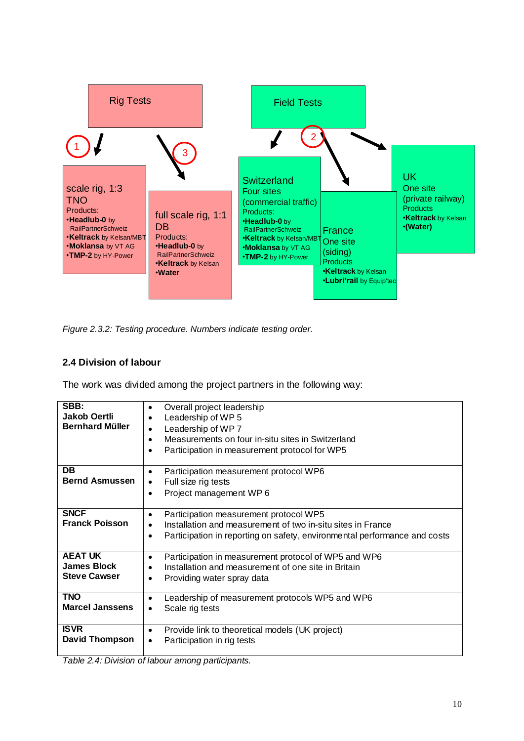

*Figure 2.3.2: Testing procedure. Numbers indicate testing order.*

## **2.4 Division of labour**

The work was divided among the project partners in the following way:

| SBB:                   | Overall project leadership<br>$\bullet$                                   |
|------------------------|---------------------------------------------------------------------------|
| <b>Jakob Oertli</b>    | Leadership of WP 5                                                        |
| <b>Bernhard Müller</b> |                                                                           |
|                        | Leadership of WP 7                                                        |
|                        | Measurements on four in-situ sites in Switzerland<br>٠                    |
|                        | Participation in measurement protocol for WP5                             |
|                        |                                                                           |
| <b>DB</b>              |                                                                           |
|                        | Participation measurement protocol WP6<br>$\bullet$                       |
| <b>Bernd Asmussen</b>  | Full size rig tests<br>٠                                                  |
|                        | Project management WP6<br>$\bullet$                                       |
|                        |                                                                           |
| <b>SNCF</b>            | Participation measurement protocol WP5<br>٠                               |
| <b>Franck Poisson</b>  | Installation and measurement of two in-situ sites in France               |
|                        |                                                                           |
|                        | Participation in reporting on safety, environmental performance and costs |
|                        |                                                                           |
| <b>AEAT UK</b>         | Participation in measurement protocol of WP5 and WP6<br>٠                 |
| <b>James Block</b>     | Installation and measurement of one site in Britain                       |
| <b>Steve Cawser</b>    | Providing water spray data<br>$\bullet$                                   |
|                        |                                                                           |
| <b>TNO</b>             | Leadership of measurement protocols WP5 and WP6                           |
| <b>Marcel Janssens</b> |                                                                           |
|                        | Scale rig tests                                                           |
|                        |                                                                           |
| <b>ISVR</b>            | Provide link to theoretical models (UK project)<br>$\bullet$              |
| David Thompson         | Participation in rig tests                                                |
|                        |                                                                           |
|                        |                                                                           |

*Table 2.4: Division of labour among participants.*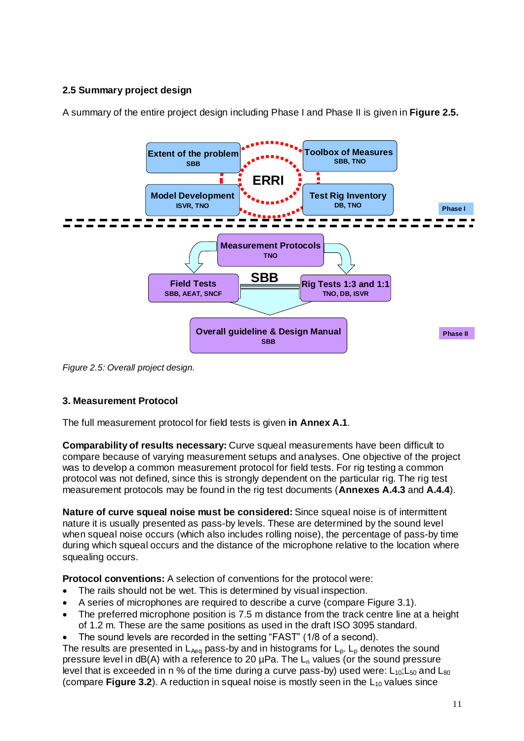# **2.5 Summary project design**



A summary of the entire project design including Phase I and Phase II is given in **Figure 2.5.**

*Figure 2.5: Overall project design.* 

## **3. Measurement Protocol**

The full measurement protocol for field tests is given **in Annex A.1**.

**Comparability of results necessary:** Curve squeal measurements have been difficult to compare because of varying measurement setups and analyses. One objective of the project was to develop a common measurement protocol for field tests. For rig testing a common protocol was not defined, since this is strongly dependent on the particular rig. The rig test measurement protocols may be found in the rig test documents (**Annexes A.4.3** and **A.4.4**).

**Nature of curve squeal noise must be considered:** Since squeal noise is of intermittent nature it is usually presented as pass-by levels. These are determined by the sound level when squeal noise occurs (which also includes rolling noise), the percentage of pass-by time during which squeal occurs and the distance of the microphone relative to the location where squealing occurs.

**Protocol conventions:** A selection of conventions for the protocol were:

- The rails should not be wet. This is determined by visual inspection.
- A series of microphones are required to describe a curve (compare Figure 3.1).
- The preferred microphone position is 7.5 m distance from the track centre line at a height of 1.2 m. These are the same positions as used in the draft ISO 3095 standard.
- The sound levels are recorded in the setting "FAST" (1/8 of a second).

The results are presented in  $L_{Aeq}$  pass-by and in histograms for  $L_p$ .  $L_p$  denotes the sound pressure level in  $dB(A)$  with a reference to 20  $\mu$ Pa. The L<sub>n</sub> values (or the sound pressure level that is exceeded in n % of the time during a curve pass-by) used were:  $L_{10}$ ;  $L_{50}$  and  $L_{80}$ (compare **Figure 3.2**). A reduction in squeal noise is mostly seen in the  $L_{10}$  values since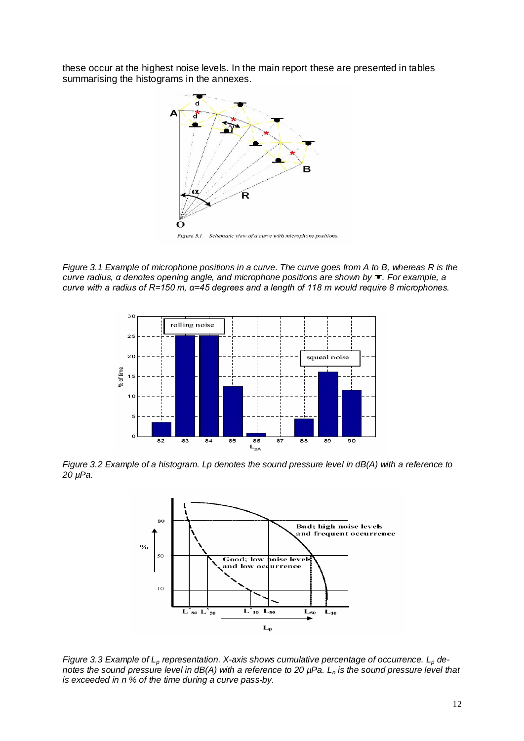these occur at the highest noise levels. In the main report these are presented in tables summarising the histograms in the annexes.



*Figure 3.1 Example of microphone positions in a curve. The curve goes from A to B, whereas R is the curve radius, α denotes opening angle, and microphone positions are shown by . For example, a curve with a radius of R=150 m, α=45 degrees and a length of 118 m would require 8 microphones.*



*Figure 3.2 Example of a histogram. Lp denotes the sound pressure level in dB(A) with a reference to 20 µPa.*



*Figure 3.3 Example of Lp representation. X-axis shows cumulative percentage of occurrence. Lp denotes the sound pressure level in dB(A) with a reference to 20 µPa. Ln is the sound pressure level that is exceeded in n % of the time during a curve pass-by.*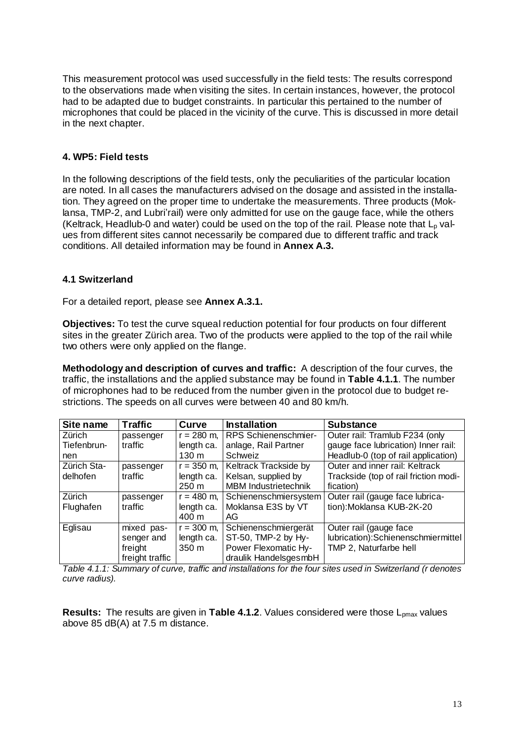This measurement protocol was used successfully in the field tests: The results correspond to the observations made when visiting the sites. In certain instances, however, the protocol had to be adapted due to budget constraints. In particular this pertained to the number of microphones that could be placed in the vicinity of the curve. This is discussed in more detail in the next chapter.

#### **4. WP5: Field tests**

In the following descriptions of the field tests, only the peculiarities of the particular location are noted. In all cases the manufacturers advised on the dosage and assisted in the installation. They agreed on the proper time to undertake the measurements. Three products (Moklansa, TMP-2, and Lubri'rail) were only admitted for use on the gauge face, while the others (Keltrack, Headlub-0 and water) could be used on the top of the rail. Please note that  $L_p$  values from different sites cannot necessarily be compared due to different traffic and track conditions. All detailed information may be found in **Annex A.3.**

#### **4.1 Switzerland**

For a detailed report, please see **Annex A.3.1.**

**Objectives:** To test the curve squeal reduction potential for four products on four different sites in the greater Zürich area. Two of the products were applied to the top of the rail while two others were only applied on the flange.

**Methodology and description of curves and traffic:** A description of the four curves, the traffic, the installations and the applied substance may be found in **Table 4.1.1**. The number of microphones had to be reduced from the number given in the protocol due to budget restrictions. The speeds on all curves were between 40 and 80 km/h.

| Site name   | <b>Traffic</b>  | Curve           | <b>Installation</b>         | <b>Substance</b>                                        |
|-------------|-----------------|-----------------|-----------------------------|---------------------------------------------------------|
| Zürich      | passenger       | $r = 280$ m,    | RPS Schienenschmier-        | Outer rail: Tramlub F234 (only                          |
| Tiefenbrun- | traffic         | length ca.      | anlage, Rail Partner        | gauge face lubrication) Inner rail:                     |
| nen         |                 | $130 \text{ m}$ | Schweiz                     | Headlub-0 (top of rail application)                     |
| Zürich Sta- | passenger       | $r = 350$ m,    | Keltrack Trackside by       | Outer and inner rail: Keltrack                          |
| delhofen    | traffic         | length ca.      | Kelsan, supplied by         | Trackside (top of rail friction modi-                   |
|             |                 | $250 \text{ m}$ | <b>MBM Industrietechnik</b> | fication)                                               |
| Zürich      | passenger       | $r = 480$ m,    |                             | Schienenschmiersystem   Outer rail (gauge face lubrica- |
| Flughafen   | traffic         | length ca.      | Moklansa E3S by VT          | tion): Moklansa KUB-2K-20                               |
|             |                 | 400 m           | AG                          |                                                         |
| Eglisau     | mixed pas-      | $r = 300$ m,    | Schienenschmiergerät        | Outer rail (gauge face                                  |
|             | senger and      | length ca.      | ST-50, TMP-2 by Hy-         | lubrication):Schienenschmiermittel                      |
|             | freight         | 350 m           | Power Flexomatic Hy-        | TMP 2, Naturfarbe hell                                  |
|             | freight traffic |                 | draulik HandelsgesmbH       |                                                         |

*Table 4.1.1: Summary of curve, traffic and installations for the four sites used in Switzerland (r denotes curve radius).*

**Results:** The results are given in **Table 4.1.2**. Values considered were those L<sub>pmax</sub> values above 85 dB(A) at 7.5 m distance.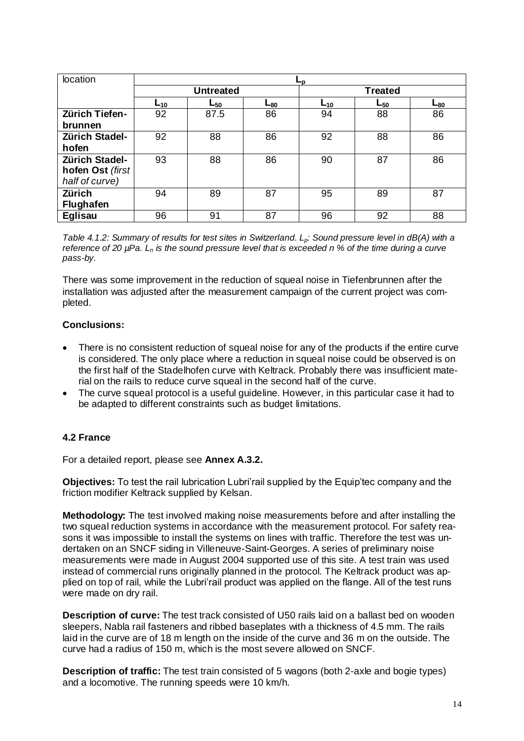| location              | ∟р              |                  |          |                |          |                 |  |
|-----------------------|-----------------|------------------|----------|----------------|----------|-----------------|--|
|                       |                 | <b>Untreated</b> |          | <b>Treated</b> |          |                 |  |
|                       | L <sub>10</sub> | $L_{50}$         | $L_{80}$ | $L_{10}$       | $L_{50}$ | ∟ <sub>80</sub> |  |
| <b>Zürich Tiefen-</b> | 92              | 87.5             | 86       | 94             | 88       | 86              |  |
| brunnen               |                 |                  |          |                |          |                 |  |
| <b>Zürich Stadel-</b> | 92              | 88               | 86       | 92             | 88       | 86              |  |
| hofen                 |                 |                  |          |                |          |                 |  |
| <b>Zürich Stadel-</b> | 93              | 88               | 86       | 90             | 87       | 86              |  |
| hofen Ost (first      |                 |                  |          |                |          |                 |  |
| half of curve)        |                 |                  |          |                |          |                 |  |
| <b>Zürich</b>         | 94              | 89               | 87       | 95             | 89       | 87              |  |
| <b>Flughafen</b>      |                 |                  |          |                |          |                 |  |
| <b>Eglisau</b>        | 96              | 91               | 87       | 96             | 92       | 88              |  |

*Table 4.1.2: Summary of results for test sites in Switzerland. Lp: Sound pressure level in dB(A) with a reference of 20 µPa. Ln is the sound pressure level that is exceeded n % of the time during a curve pass-by.*

There was some improvement in the reduction of squeal noise in Tiefenbrunnen after the installation was adjusted after the measurement campaign of the current project was completed.

#### **Conclusions:**

- There is no consistent reduction of squeal noise for any of the products if the entire curve is considered. The only place where a reduction in squeal noise could be observed is on the first half of the Stadelhofen curve with Keltrack. Probably there was insufficient material on the rails to reduce curve squeal in the second half of the curve.
- The curve squeal protocol is a useful guideline. However, in this particular case it had to be adapted to different constraints such as budget limitations.

## **4.2 France**

For a detailed report, please see **Annex A.3.2.**

**Objectives:** To test the rail lubrication Lubri'rail supplied by the Equip'tec company and the friction modifier Keltrack supplied by Kelsan.

**Methodology:** The test involved making noise measurements before and after installing the two squeal reduction systems in accordance with the measurement protocol. For safety reasons it was impossible to install the systems on lines with traffic. Therefore the test was undertaken on an SNCF siding in Villeneuve-Saint-Georges. A series of preliminary noise measurements were made in August 2004 supported use of this site. A test train was used instead of commercial runs originally planned in the protocol. The Keltrack product was applied on top of rail, while the Lubri'rail product was applied on the flange. All of the test runs were made on dry rail.

**Description of curve:** The test track consisted of U50 rails laid on a ballast bed on wooden sleepers, Nabla rail fasteners and ribbed baseplates with a thickness of 4.5 mm. The rails laid in the curve are of 18 m length on the inside of the curve and 36 m on the outside. The curve had a radius of 150 m, which is the most severe allowed on SNCF.

**Description of traffic:** The test train consisted of 5 wagons (both 2-axle and bogie types) and a locomotive. The running speeds were 10 km/h.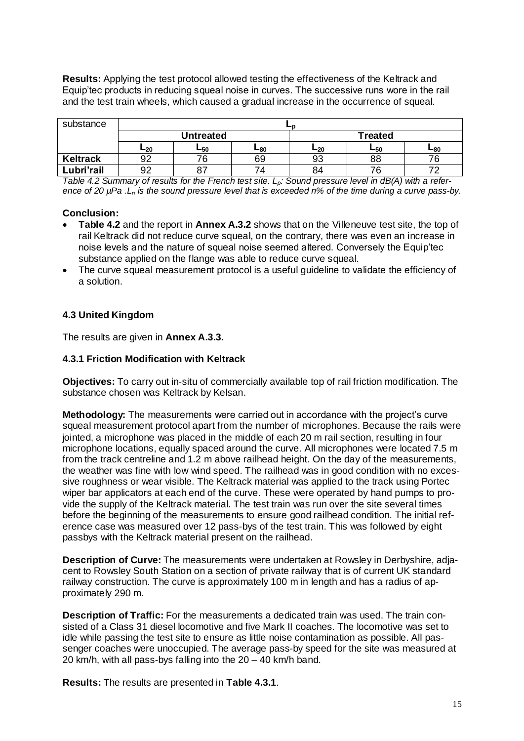**Results:** Applying the test protocol allowed testing the effectiveness of the Keltrack and Equip'tec products in reducing squeal noise in curves. The successive runs wore in the rail and the test train wheels, which caused a gradual increase in the occurrence of squeal.

| substance       |     |           |     |     |                |     |  |  |
|-----------------|-----|-----------|-----|-----|----------------|-----|--|--|
|                 |     | Untreated |     |     | <b>Treated</b> |     |  |  |
|                 | ∟20 | ∟50       | ∟80 | ∟20 | ∟50            | ∟80 |  |  |
| <b>Keltrack</b> | 92  |           | 69  | 93  | 88             | 76  |  |  |
| Lubri'rail      | 92  | 87        | 74. | 84  |                |     |  |  |

*Table 4.2 Summary of results for the French test site. Lp: Sound pressure level in dB(A) with a reference of 20 µPa .Ln is the sound pressure level that is exceeded n% of the time during a curve pass-by.*

#### **Conclusion:**

- **Table 4.2** and the report in **Annex A.3.2** shows that on the Villeneuve test site, the top of rail Keltrack did not reduce curve squeal, on the contrary, there was even an increase in noise levels and the nature of squeal noise seemed altered. Conversely the Equip'tec substance applied on the flange was able to reduce curve squeal.
- The curve squeal measurement protocol is a useful guideline to validate the efficiency of a solution.

#### **4.3 United Kingdom**

The results are given in **Annex A.3.3.**

#### **4.3.1 Friction Modification with Keltrack**

**Objectives:** To carry out in-situ of commercially available top of rail friction modification. The substance chosen was Keltrack by Kelsan.

**Methodology:** The measurements were carried out in accordance with the project's curve squeal measurement protocol apart from the number of microphones. Because the rails were jointed, a microphone was placed in the middle of each 20 m rail section, resulting in four microphone locations, equally spaced around the curve. All microphones were located 7.5 m from the track centreline and 1.2 m above railhead height. On the day of the measurements, the weather was fine with low wind speed. The railhead was in good condition with no excessive roughness or wear visible. The Keltrack material was applied to the track using Portec wiper bar applicators at each end of the curve. These were operated by hand pumps to provide the supply of the Keltrack material. The test train was run over the site several times before the beginning of the measurements to ensure good railhead condition. The initial reference case was measured over 12 pass-bys of the test train. This was followed by eight passbys with the Keltrack material present on the railhead.

**Description of Curve:** The measurements were undertaken at Rowsley in Derbyshire, adjacent to Rowsley South Station on a section of private railway that is of current UK standard railway construction. The curve is approximately 100 m in length and has a radius of approximately 290 m.

**Description of Traffic:** For the measurements a dedicated train was used. The train consisted of a Class 31 diesel locomotive and five Mark II coaches. The locomotive was set to idle while passing the test site to ensure as little noise contamination as possible. All passenger coaches were unoccupied. The average pass-by speed for the site was measured at 20 km/h, with all pass-bys falling into the 20 – 40 km/h band.

**Results:** The results are presented in **Table 4.3.1**.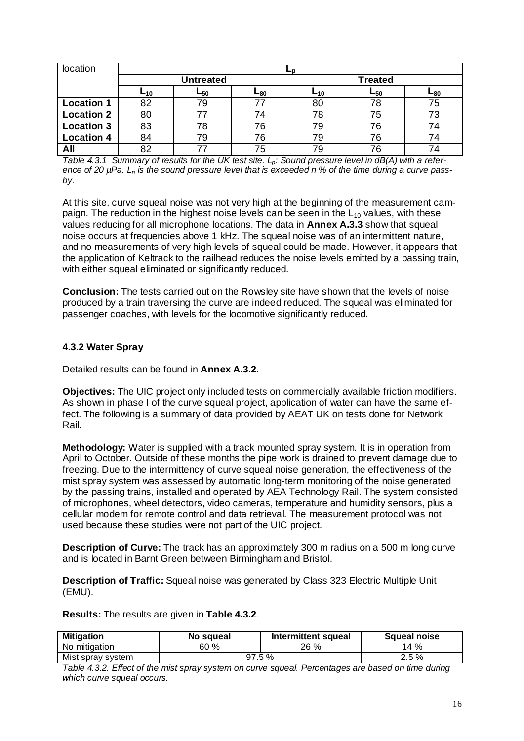| location          |                  |          |                 |                 |          |     |  |  |
|-------------------|------------------|----------|-----------------|-----------------|----------|-----|--|--|
|                   | <b>Untreated</b> |          |                 | <b>Treated</b>  |          |     |  |  |
|                   | $L_{10}$         | $L_{50}$ | ∟ <sub>80</sub> | ∟ <sub>10</sub> | $L_{50}$ | ∟80 |  |  |
| <b>Location 1</b> | 82               | 79       |                 | 80              | 78       | 75  |  |  |
| <b>Location 2</b> | 80               | 77       | 74              | 78              | 75       | 73  |  |  |
| <b>Location 3</b> | 83               | 78       | 76              | 79              | 76       | 74  |  |  |
| <b>Location 4</b> | 84               | 79       | 76              | 79              | 76       | 74  |  |  |
| All               | 82               | 77       | 75              | 79              | 76       | 74  |  |  |

*Table 4.3.1 Summary of results for the UK test site. Lp: Sound pressure level in dB(A) with a reference of 20 µPa. Ln is the sound pressure level that is exceeded n % of the time during a curve passby.*

At this site, curve squeal noise was not very high at the beginning of the measurement campaign. The reduction in the highest noise levels can be seen in the  $L_{10}$  values, with these values reducing for all microphone locations. The data in **Annex A.3.3** show that squeal noise occurs at frequencies above 1 kHz. The squeal noise was of an intermittent nature, and no measurements of very high levels of squeal could be made. However, it appears that the application of Keltrack to the railhead reduces the noise levels emitted by a passing train, with either squeal eliminated or significantly reduced.

**Conclusion:** The tests carried out on the Rowsley site have shown that the levels of noise produced by a train traversing the curve are indeed reduced. The squeal was eliminated for passenger coaches, with levels for the locomotive significantly reduced.

#### **4.3.2 Water Spray**

Detailed results can be found in **Annex A.3.2**.

**Objectives:** The UIC project only included tests on commercially available friction modifiers. As shown in phase I of the curve squeal project, application of water can have the same effect. The following is a summary of data provided by AEAT UK on tests done for Network Rail.

**Methodology:** Water is supplied with a track mounted spray system. It is in operation from April to October. Outside of these months the pipe work is drained to prevent damage due to freezing. Due to the intermittency of curve squeal noise generation, the effectiveness of the mist spray system was assessed by automatic long-term monitoring of the noise generated by the passing trains, installed and operated by AEA Technology Rail. The system consisted of microphones, wheel detectors, video cameras, temperature and humidity sensors, plus a cellular modem for remote control and data retrieval. The measurement protocol was not used because these studies were not part of the UIC project.

**Description of Curve:** The track has an approximately 300 m radius on a 500 m long curve and is located in Barnt Green between Birmingham and Bristol.

**Description of Traffic:** Squeal noise was generated by Class 323 Electric Multiple Unit (EMU).

**Results:** The results are given in **Table 4.3.2**.

| <b>Mitigation</b> | No squeal | Intermittent squeal | Squeal noise |
|-------------------|-----------|---------------------|--------------|
| No mitigation     | 60 %      | 26 %                | 14%          |
| Mist spray system |           | 97.5%               | 2.5 %        |

*Table 4.3.2. Effect of the mist spray system on curve squeal. Percentages are based on time during which curve squeal occurs.*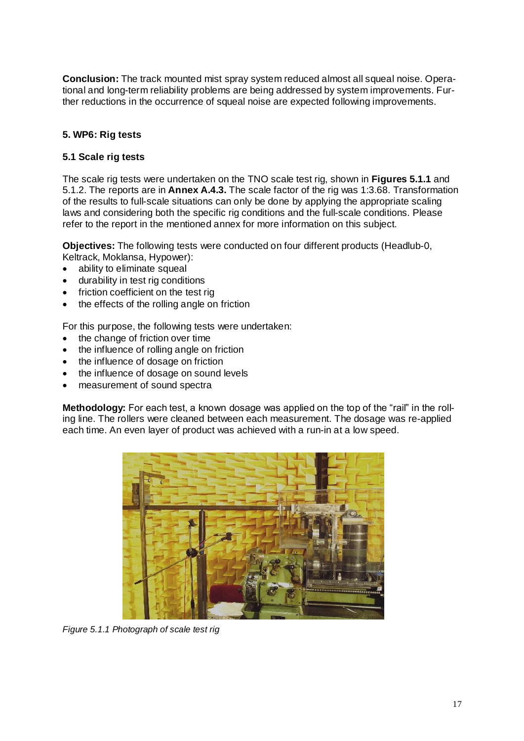**Conclusion:** The track mounted mist spray system reduced almost all squeal noise. Operational and long-term reliability problems are being addressed by system improvements. Further reductions in the occurrence of squeal noise are expected following improvements.

## **5. WP6: Rig tests**

#### **5.1 Scale rig tests**

The scale rig tests were undertaken on the TNO scale test rig, shown in **Figures 5.1.1** and 5.1.2. The reports are in **Annex A.4.3.** The scale factor of the rig was 1:3.68. Transformation of the results to full-scale situations can only be done by applying the appropriate scaling laws and considering both the specific rig conditions and the full-scale conditions. Please refer to the report in the mentioned annex for more information on this subject.

**Objectives:** The following tests were conducted on four different products (Headlub-0, Keltrack, Moklansa, Hypower):

- ability to eliminate squeal
- durability in test rig conditions
- friction coefficient on the test rig
- the effects of the rolling angle on friction

For this purpose, the following tests were undertaken:

- the change of friction over time
- the influence of rolling angle on friction
- the influence of dosage on friction
- the influence of dosage on sound levels
- measurement of sound spectra

**Methodology:** For each test, a known dosage was applied on the top of the "rail" in the rolling line. The rollers were cleaned between each measurement. The dosage was re-applied each time. An even layer of product was achieved with a run-in at a low speed.



*Figure 5.1.1 Photograph of scale test rig*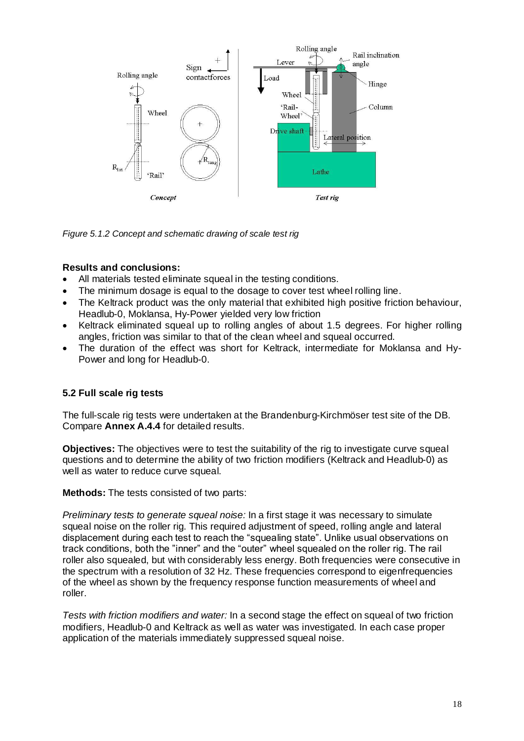

*Figure 5.1.2 Concept and schematic drawing of scale test rig*

#### **Results and conclusions:**

- All materials tested eliminate squeal in the testing conditions.
- The minimum dosage is equal to the dosage to cover test wheel rolling line.
- The Keltrack product was the only material that exhibited high positive friction behaviour, Headlub-0, Moklansa, Hy-Power yielded very low friction
- Keltrack eliminated squeal up to rolling angles of about 1.5 degrees. For higher rolling angles, friction was similar to that of the clean wheel and squeal occurred.
- The duration of the effect was short for Keltrack, intermediate for Moklansa and Hy-Power and long for Headlub-0.

## **5.2 Full scale rig tests**

The full-scale rig tests were undertaken at the Brandenburg-Kirchmöser test site of the DB. Compare **Annex A.4.4** for detailed results.

**Objectives:** The objectives were to test the suitability of the rig to investigate curve squeal questions and to determine the ability of two friction modifiers (Keltrack and Headlub-0) as well as water to reduce curve squeal.

**Methods:** The tests consisted of two parts:

*Preliminary tests to generate squeal noise:* In a first stage it was necessary to simulate squeal noise on the roller rig. This required adjustment of speed, rolling angle and lateral displacement during each test to reach the "squealing state". Unlike usual observations on track conditions, both the "inner" and the "outer" wheel squealed on the roller rig. The rail roller also squealed, but with considerably less energy. Both frequencies were consecutive in the spectrum with a resolution of 32 Hz. These frequencies correspond to eigenfrequencies of the wheel as shown by the frequency response function measurements of wheel and roller.

*Tests with friction modifiers and water:* In a second stage the effect on squeal of two friction modifiers, Headlub-0 and Keltrack as well as water was investigated. In each case proper application of the materials immediately suppressed squeal noise.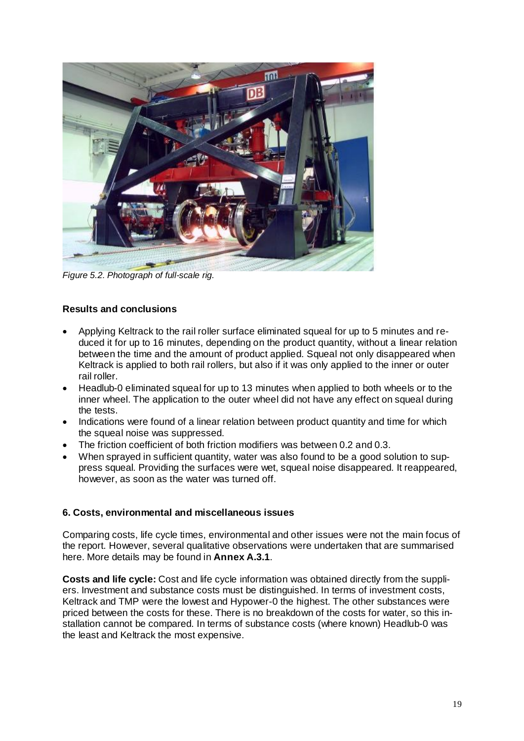

*Figure 5.2. Photograph of full-scale rig.*

## **Results and conclusions**

- Applying Keltrack to the rail roller surface eliminated squeal for up to 5 minutes and reduced it for up to 16 minutes, depending on the product quantity, without a linear relation between the time and the amount of product applied. Squeal not only disappeared when Keltrack is applied to both rail rollers, but also if it was only applied to the inner or outer rail roller.
- Headlub-0 eliminated squeal for up to 13 minutes when applied to both wheels or to the inner wheel. The application to the outer wheel did not have any effect on squeal during the tests.
- Indications were found of a linear relation between product quantity and time for which the squeal noise was suppressed.
- The friction coefficient of both friction modifiers was between 0.2 and 0.3.
- When sprayed in sufficient quantity, water was also found to be a good solution to suppress squeal. Providing the surfaces were wet, squeal noise disappeared. It reappeared, however, as soon as the water was turned off.

#### **6. Costs, environmental and miscellaneous issues**

Comparing costs, life cycle times, environmental and other issues were not the main focus of the report. However, several qualitative observations were undertaken that are summarised here. More details may be found in **Annex A.3.1**.

**Costs and life cycle:** Cost and life cycle information was obtained directly from the suppliers. Investment and substance costs must be distinguished. In terms of investment costs, Keltrack and TMP were the lowest and Hypower-0 the highest. The other substances were priced between the costs for these. There is no breakdown of the costs for water, so this installation cannot be compared. In terms of substance costs (where known) Headlub-0 was the least and Keltrack the most expensive.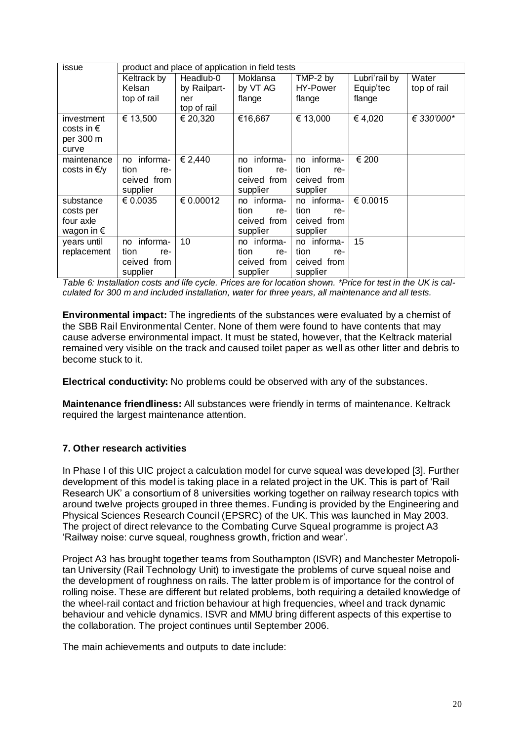| issue               |                |                              | product and place of application in field tests |                |               |             |
|---------------------|----------------|------------------------------|-------------------------------------------------|----------------|---------------|-------------|
|                     | Keltrack by    | Headlub-0                    | Moklansa                                        | TMP-2 by       | Lubri'rail by | Water       |
|                     | Kelsan         | by Railpart-                 | by VT AG                                        | HY-Power       | Equip'tec     | top of rail |
|                     | top of rail    | ner                          | flange                                          | flange         | flange        |             |
|                     |                | top of rail                  |                                                 |                |               |             |
| investment          | € 13,500       | $\overline{\epsilon}$ 20,320 | €16,667                                         | € 13,000       | 64,020        | € 330'000*  |
| costs in $\epsilon$ |                |                              |                                                 |                |               |             |
| per 300 m           |                |                              |                                                 |                |               |             |
| curve               |                |                              |                                                 |                |               |             |
| maintenance         | informa-<br>no | € 2,440                      | informa-<br>no                                  | informa-<br>no | € 200         |             |
| costs in €/y        | tion<br>re-    |                              | tion<br>re-                                     | tion<br>re-    |               |             |
|                     | ceived from    |                              | ceived from                                     | ceived from    |               |             |
|                     | supplier       |                              | supplier                                        | supplier       |               |             |
| substance           | € 0.0035       | € 0.00012                    | no informa-                                     | no informa-    | € 0.0015      |             |
| costs per           |                |                              | tion<br>re-                                     | tion<br>re-    |               |             |
| four axle           |                |                              | ceived from                                     | ceived from    |               |             |
| wagon in $\epsilon$ |                |                              | supplier                                        | supplier       |               |             |
| years until         | informa-<br>no | 10                           | no informa-                                     | no informa-    | 15            |             |
| replacement         | tion<br>re-    |                              | tion<br>re-                                     | tion<br>re-    |               |             |
|                     | ceived from    |                              | ceived from                                     | ceived from    |               |             |
|                     | supplier       |                              | supplier                                        | supplier       |               |             |

*Table 6: Installation costs and life cycle. Prices are for location shown. \*Price for test in the UK is calculated for 300 m and included installation, water for three years, all maintenance and all tests.* 

**Environmental impact:** The ingredients of the substances were evaluated by a chemist of the SBB Rail Environmental Center. None of them were found to have contents that may cause adverse environmental impact. It must be stated, however, that the Keltrack material remained very visible on the track and caused toilet paper as well as other litter and debris to become stuck to it.

**Electrical conductivity:** No problems could be observed with any of the substances.

**Maintenance friendliness:** All substances were friendly in terms of maintenance. Keltrack required the largest maintenance attention.

#### **7. Other research activities**

In Phase I of this UIC project a calculation model for curve squeal was developed [3]. Further development of this model is taking place in a related project in the UK. This is part of 'Rail Research UK' a consortium of 8 universities working together on railway research topics with around twelve projects grouped in three themes. Funding is provided by the Engineering and Physical Sciences Research Council (EPSRC) of the UK. This was launched in May 2003. The project of direct relevance to the Combating Curve Squeal programme is project A3 'Railway noise: curve squeal, roughness growth, friction and wear'.

Project A3 has brought together teams from Southampton (ISVR) and Manchester Metropolitan University (Rail Technology Unit) to investigate the problems of curve squeal noise and the development of roughness on rails. The latter problem is of importance for the control of rolling noise. These are different but related problems, both requiring a detailed knowledge of the wheel-rail contact and friction behaviour at high frequencies, wheel and track dynamic behaviour and vehicle dynamics. ISVR and MMU bring different aspects of this expertise to the collaboration. The project continues until September 2006.

The main achievements and outputs to date include: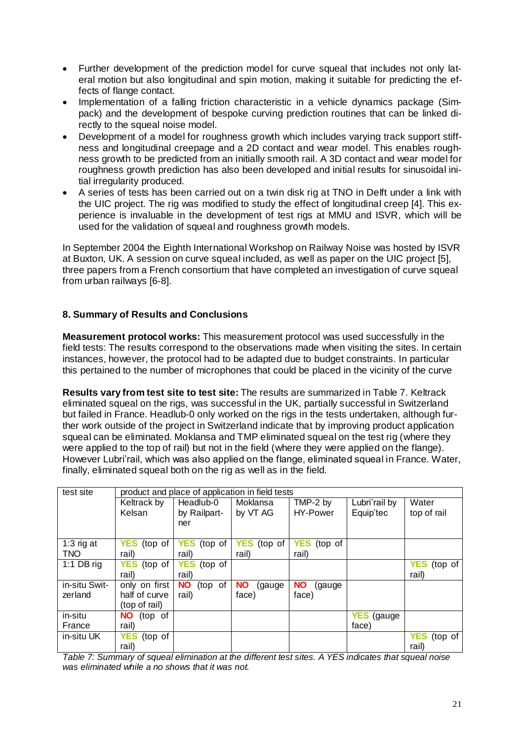- Further development of the prediction model for curve squeal that includes not only lateral motion but also longitudinal and spin motion, making it suitable for predicting the effects of flange contact.
- Implementation of a falling friction characteristic in a vehicle dynamics package (Simpack) and the development of bespoke curving prediction routines that can be linked directly to the squeal noise model.
- Development of a model for roughness growth which includes varying track support stiffness and longitudinal creepage and a 2D contact and wear model. This enables roughness growth to be predicted from an initially smooth rail. A 3D contact and wear model for roughness growth prediction has also been developed and initial results for sinusoidal initial irregularity produced.
- A series of tests has been carried out on a twin disk rig at TNO in Delft under a link with the UIC project. The rig was modified to study the effect of longitudinal creep [4]. This experience is invaluable in the development of test rigs at MMU and ISVR, which will be used for the validation of squeal and roughness growth models.

In September 2004 the Eighth International Workshop on Railway Noise was hosted by ISVR at Buxton, UK. A session on curve squeal included, as well as paper on the UIC project [5], three papers from a French consortium that have completed an investigation of curve squeal from urban railways [6-8].

## **8. Summary of Results and Conclusions**

**Measurement protocol works:** This measurement protocol was used successfully in the field tests: The results correspond to the observations made when visiting the sites. In certain instances, however, the protocol had to be adapted due to budget constraints. In particular this pertained to the number of microphones that could be placed in the vicinity of the curve

**Results vary from test site to test site:** The results are summarized in Table 7. Keltrack eliminated squeal on the rigs, was successful in the UK, partially successful in Switzerland but failed in France. Headlub-0 only worked on the rigs in the tests undertaken, although further work outside of the project in Switzerland indicate that by improving product application squeal can be eliminated. Moklansa and TMP eliminated squeal on the test rig (where they were applied to the top of rail) but not in the field (where they were applied on the flange). However Lubri'rail, which was also applied on the flange, eliminated squeal in France. Water, finally, eliminated squeal both on the rig as well as in the field.

| test site                 | product and place of application in field tests |                       |                       |                       |                   |                       |
|---------------------------|-------------------------------------------------|-----------------------|-----------------------|-----------------------|-------------------|-----------------------|
|                           | Keltrack by                                     | Headlub-0             | Moklansa              | TMP-2 by              | Lubri'rail by     | Water                 |
|                           | Kelsan                                          | by Railpart-          | by VT AG              | HY-Power              | Equip'tec         | top of rail           |
|                           |                                                 | ner                   |                       |                       |                   |                       |
|                           |                                                 |                       |                       |                       |                   |                       |
| 1:3 $\overline{r}$ rig at | <b>YES</b><br>(top of                           | <b>YES</b><br>(top of | <b>YES</b><br>(top of | <b>YES</b><br>(top of |                   |                       |
| <b>TNO</b>                | rail)                                           | rail)                 | rail)                 | rail)                 |                   |                       |
| 1:1 DB rig                | <b>YES</b><br>(top of                           | <b>YES</b><br>(top of |                       |                       |                   | <b>YES</b><br>(top of |
|                           | rail)                                           | rail)                 |                       |                       |                   | rail)                 |
| in-situ Swit-             | only on first                                   | <b>NO</b><br>(top of  | <b>NO</b><br>(gauge)  | <b>NO</b><br>(gauge   |                   |                       |
| zerland                   | half of curve                                   | rail)                 | face)                 | face)                 |                   |                       |
|                           | (top of rail)                                   |                       |                       |                       |                   |                       |
| in-situ                   | (top of<br><b>NO</b>                            |                       |                       |                       | <b>YES</b> (gauge |                       |
| France                    | rail)                                           |                       |                       |                       | face)             |                       |
| in-situ UK                | <b>YES</b><br>(top of                           |                       |                       |                       |                   | <b>YES</b><br>(top of |
|                           | rail)                                           |                       |                       |                       |                   | rail)                 |

*Table 7: Summary of squeal elimination at the different test sites. A YES indicates that squeal noise was eliminated while a no shows that it was not.*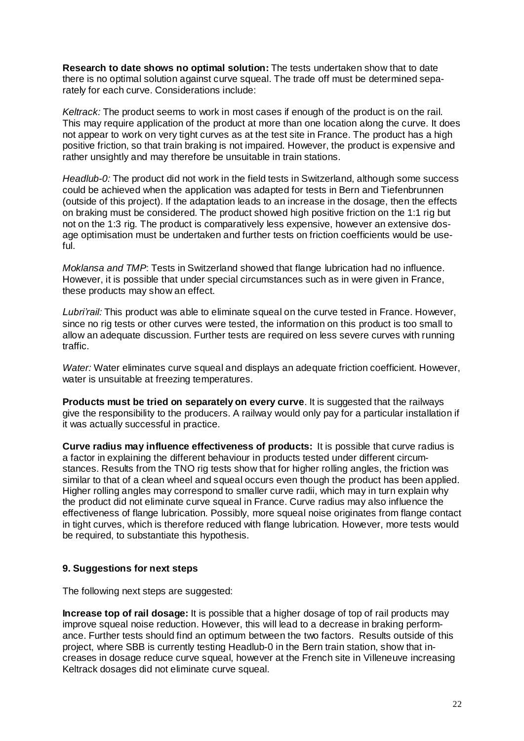**Research to date shows no optimal solution:** The tests undertaken show that to date there is no optimal solution against curve squeal. The trade off must be determined separately for each curve. Considerations include:

*Keltrack:* The product seems to work in most cases if enough of the product is on the rail. This may require application of the product at more than one location along the curve. It does not appear to work on very tight curves as at the test site in France. The product has a high positive friction, so that train braking is not impaired. However, the product is expensive and rather unsightly and may therefore be unsuitable in train stations.

*Headlub-0:* The product did not work in the field tests in Switzerland, although some success could be achieved when the application was adapted for tests in Bern and Tiefenbrunnen (outside of this project). If the adaptation leads to an increase in the dosage, then the effects on braking must be considered. The product showed high positive friction on the 1:1 rig but not on the 1:3 rig. The product is comparatively less expensive, however an extensive dosage optimisation must be undertaken and further tests on friction coefficients would be useful.

*Moklansa and TMP*: Tests in Switzerland showed that flange lubrication had no influence. However, it is possible that under special circumstances such as in were given in France, these products may show an effect.

*Lubri'rail:* This product was able to eliminate squeal on the curve tested in France. However, since no rig tests or other curves were tested, the information on this product is too small to allow an adequate discussion. Further tests are required on less severe curves with running traffic.

*Water:* Water eliminates curve squeal and displays an adequate friction coefficient. However, water is unsuitable at freezing temperatures.

**Products must be tried on separately on every curve**. It is suggested that the railways give the responsibility to the producers. A railway would only pay for a particular installation if it was actually successful in practice.

**Curve radius may influence effectiveness of products:** It is possible that curve radius is a factor in explaining the different behaviour in products tested under different circumstances. Results from the TNO rig tests show that for higher rolling angles, the friction was similar to that of a clean wheel and squeal occurs even though the product has been applied. Higher rolling angles may correspond to smaller curve radii, which may in turn explain why the product did not eliminate curve squeal in France. Curve radius may also influence the effectiveness of flange lubrication. Possibly, more squeal noise originates from flange contact in tight curves, which is therefore reduced with flange lubrication. However, more tests would be required, to substantiate this hypothesis.

#### **9. Suggestions for next steps**

The following next steps are suggested:

**Increase top of rail dosage:** It is possible that a higher dosage of top of rail products may improve squeal noise reduction. However, this will lead to a decrease in braking performance. Further tests should find an optimum between the two factors. Results outside of this project, where SBB is currently testing Headlub-0 in the Bern train station, show that increases in dosage reduce curve squeal, however at the French site in Villeneuve increasing Keltrack dosages did not eliminate curve squeal.